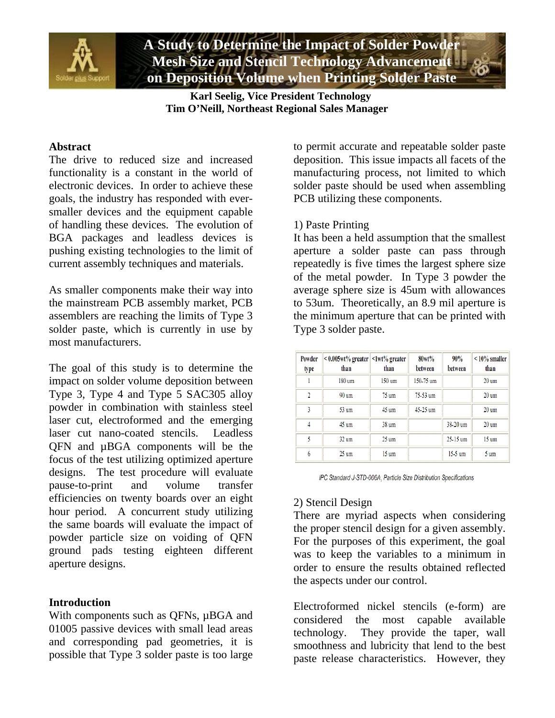

**A Study to Determine the Impact of Solder Powder Mesh Size and Stencil Technology Advancement on Deposition Volume when Printing Solder Paste** 

 **Karl Seelig, Vice President Technology Tim O'Neill, Northeast Regional Sales Manager** 

## **Abstract**

The drive to reduced size and increased functionality is a constant in the world of electronic devices. In order to achieve these goals, the industry has responded with eversmaller devices and the equipment capable of handling these devices. The evolution of BGA packages and leadless devices is pushing existing technologies to the limit of current assembly techniques and materials.

As smaller components make their way into the mainstream PCB assembly market, PCB assemblers are reaching the limits of Type 3 solder paste, which is currently in use by most manufacturers.

The goal of this study is to determine the impact on solder volume deposition between Type 3, Type 4 and Type 5 SAC305 alloy powder in combination with stainless steel laser cut, electroformed and the emerging laser cut nano-coated stencils. Leadless QFN and µBGA components will be the focus of the test utilizing optimized aperture designs. The test procedure will evaluate pause-to-print and volume transfer efficiencies on twenty boards over an eight hour period. A concurrent study utilizing the same boards will evaluate the impact of powder particle size on voiding of QFN ground pads testing eighteen different aperture designs.

# **Introduction**

With components such as QFNs,  $\mu BGA$  and 01005 passive devices with small lead areas and corresponding pad geometries, it is possible that Type 3 solder paste is too large

to permit accurate and repeatable solder paste deposition. This issue impacts all facets of the manufacturing process, not limited to which solder paste should be used when assembling PCB utilizing these components.

# 1) Paste Printing

It has been a held assumption that the smallest aperture a solder paste can pass through repeatedly is five times the largest sphere size of the metal powder. In Type 3 powder the average sphere size is 45um with allowances to 53um. Theoretically, an 8.9 mil aperture is the minimum aperture that can be printed with Type 3 solder paste.

| Powder<br>type          | $\leq 0.005$ wt% greater $\leq 1$ wt% greater<br>than | than             | 80wt%<br>between | 90%<br>between | $< 10\%$ smaller<br>than |
|-------------------------|-------------------------------------------------------|------------------|------------------|----------------|--------------------------|
|                         | $180 \text{ nm}$                                      | $150 \text{ um}$ | $150 - 75$ um    |                | $20 \text{ nm}$          |
| $\mathfrak{p}$          | $90 \text{ um}$                                       | $75 \text{ um}$  | 75-53 um         |                | $20 \text{ nm}$          |
| $\overline{\mathbf{3}}$ | 53 um                                                 | $45 \text{ um}$  | 45-25 um         |                | $20 \text{ nm}$          |
| $\overline{4}$          | 45 um                                                 | 38 <sub>um</sub> |                  | 38.20 um       | $20 \text{ um}$          |
| 5                       | $32 \text{ um}$                                       | $25 \text{ um}$  |                  | 25-15 um       | $15 \text{ nm}$          |
| 6                       | $25 \text{ um}$                                       | $15 \text{ nm}$  |                  | $15-5$ um      | $5 \text{ nm}$           |

IPC Standard J-STD-006A, Particle Size Distribution Specifications

# 2) Stencil Design

There are myriad aspects when considering the proper stencil design for a given assembly. For the purposes of this experiment, the goal was to keep the variables to a minimum in order to ensure the results obtained reflected the aspects under our control.

Electroformed nickel stencils (e-form) are considered the most capable available technology. They provide the taper, wall smoothness and lubricity that lend to the best paste release characteristics. However, they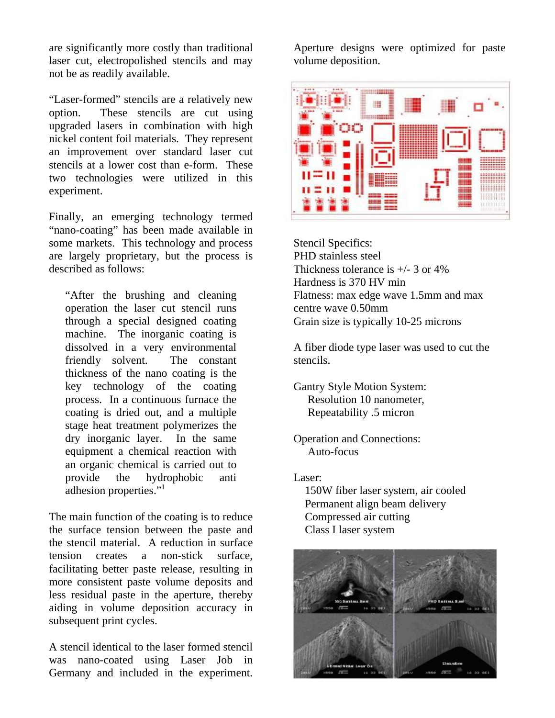are significantly more costly than traditional laser cut, electropolished stencils and may not be as readily available.

"Laser-formed" stencils are a relatively new option. These stencils are cut using upgraded lasers in combination with high nickel content foil materials. They represent an improvement over standard laser cut stencils at a lower cost than e-form. These two technologies were utilized in this experiment.

Finally, an emerging technology termed "nano-coating" has been made available in some markets. This technology and process are largely proprietary, but the process is described as follows:

"After the brushing and cleaning operation the laser cut stencil runs through a special designed coating machine. The inorganic coating is dissolved in a very environmental friendly solvent. The constant thickness of the nano coating is the key technology of the coating process. In a continuous furnace the coating is dried out, and a multiple stage heat treatment polymerizes the dry inorganic layer. In the same equipment a chemical reaction with an organic chemical is carried out to provide the hydrophobic anti adhesion properties."<sup>1</sup>

The main function of the coating is to reduce the surface tension between the paste and the stencil material. A reduction in surface tension creates a non-stick surface, facilitating better paste release, resulting in more consistent paste volume deposits and less residual paste in the aperture, thereby aiding in volume deposition accuracy in subsequent print cycles.

A stencil identical to the laser formed stencil was nano-coated using Laser Job in Germany and included in the experiment.

Aperture designs were optimized for paste volume deposition.



Stencil Specifics: PHD stainless steel Thickness tolerance is +/- 3 or 4% Hardness is 370 HV min Flatness: max edge wave 1.5mm and max centre wave 0.50mm Grain size is typically 10-25 microns

A fiber diode type laser was used to cut the stencils.

Gantry Style Motion System: Resolution 10 nanometer, Repeatability .5 micron

Operation and Connections: Auto-focus

Laser:

 150W fiber laser system, air cooled Permanent align beam delivery Compressed air cutting Class I laser system

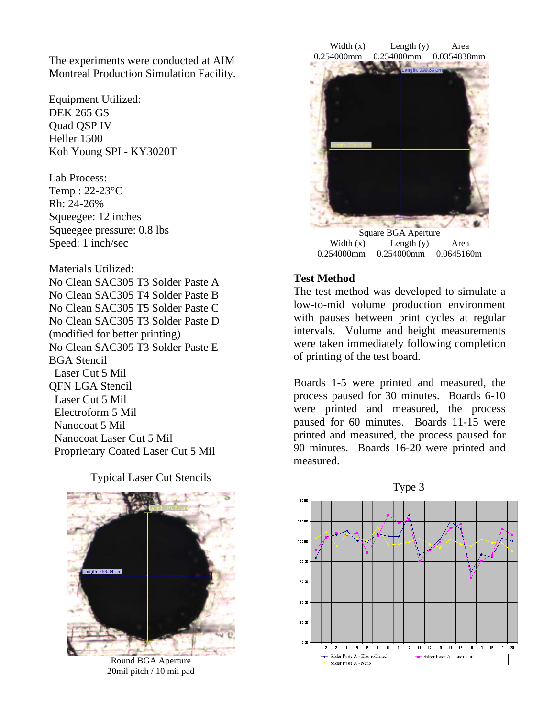The experiments were conducted at AIM Montreal Production Simulation Facility.

Equipment Utilized: DEK 265 GS Quad QSP IV Heller 1500 Koh Young SPI - KY3020T

Lab Process: Temp : 22-23°C Rh: 24-26% Squeegee: 12 inches Squeegee pressure: 0.8 lbs Speed: 1 inch/sec

Materials Utilized: No Clean SAC305 T3 Solder Paste A No Clean SAC305 T4 Solder Paste B No Clean SAC305 T5 Solder Paste C No Clean SAC305 T3 Solder Paste D (modified for better printing) No Clean SAC305 T3 Solder Paste E BGA Stencil Laser Cut 5 Mil QFN LGA Stencil Laser Cut 5 Mil Electroform 5 Mil Nanocoat 5 Mil Nanocoat Laser Cut 5 Mil Proprietary Coated Laser Cut 5 Mil

Typical Laser Cut Stencils



Round BGA Aperture 20mil pitch / 10 mil pad



Width (x) Length (y) Area 0.254000mm 0.254000mm 0.0645160m

# **Test Method**

The test method was developed to simulate a low-to-mid volume production environment with pauses between print cycles at regular intervals. Volume and height measurements were taken immediately following completion of printing of the test board.

Boards 1-5 were printed and measured, the process paused for 30 minutes. Boards 6-10 were printed and measured, the process paused for 60 minutes. Boards 11-15 were printed and measured, the process paused for 90 minutes. Boards 16-20 were printed and measured.



Type 3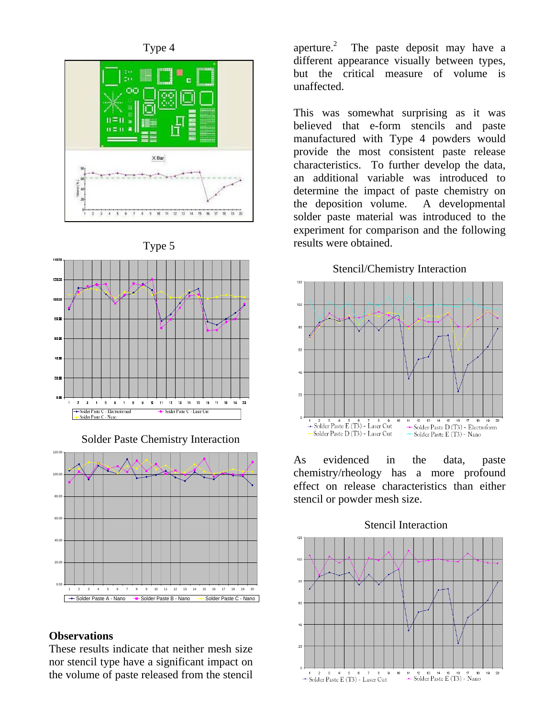





Solder Paste Chemistry Interaction



## **Observations**

These results indicate that neither mesh size nor stencil type have a significant impact on the volume of paste released from the stencil

aperture.<sup>2</sup> The paste deposit may have a different appearance visually between types, but the critical measure of volume is unaffected.

This was somewhat surprising as it was believed that e-form stencils and paste manufactured with Type 4 powders would provide the most consistent paste release characteristics. To further develop the data, an additional variable was introduced to determine the impact of paste chemistry on the deposition volume. A developmental solder paste material was introduced to the experiment for comparison and the following results were obtained.

Stencil/Chemistry Interaction



As evidenced in the data, paste chemistry/rheology has a more profound effect on release characteristics than either stencil or powder mesh size.